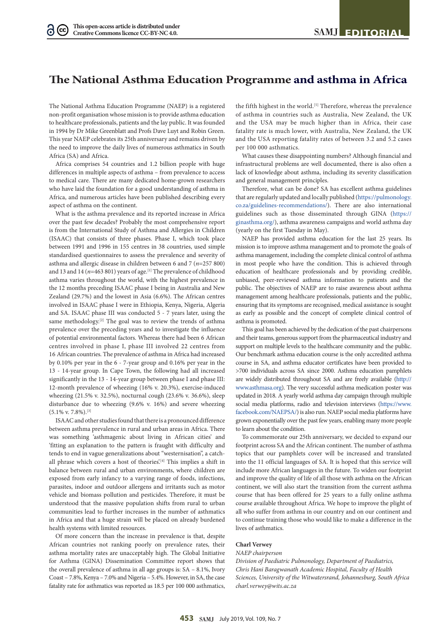## **The National Asthma Education Programme and asthma in Africa**

The National Asthma Education Programme (NAEP) is a registered non-profit organisation whose mission is to provide asthma education to healthcare professionals, patients and the lay public. It was founded in 1994 by Dr Mike Greenblatt and Profs Dave Luyt and Robin Green. This year NAEP celebrates its 25th anniversary and remains driven by the need to improve the daily lives of numerous asthmatics in South Africa (SA) and Africa.

Africa comprises 54 countries and 1.2 billion people with huge differences in multiple aspects of asthma – from prevalence to access to medical care. There are many dedicated home-grown researchers who have laid the foundation for a good understanding of asthma in Africa, and numerous articles have been published describing every aspect of asthma on the continent.

What is the asthma prevalence and its reported increase in Africa over the past few decades? Probably the most comprehensive report is from the International Study of Asthma and Allergies in Children (ISAAC) that consists of three phases. Phase I, which took place between 1991 and 1996 in 155 centres in 38 countries, used simple standardised questionnaires to assess the prevalence and severity of asthma and allergic disease in children between 6 and 7 (*n*=257 800) and 13 and 14 ( $n=463 801$ ) years of age.<sup>[1]</sup> The prevalence of childhood asthma varies throughout the world, with the highest prevalence in the 12 months preceding ISAAC phase I being in Australia and New Zealand (29.7%) and the lowest in Asia (6.6%). The African centres involved in ISAAC phase I were in Ethiopia, Kenya, Nigeria, Algeria and SA. ISAAC phase III was conducted 5 - 7 years later, using the same methodology.<sup>[2]</sup> The goal was to review the trends of asthma prevalence over the preceding years and to investigate the influence of potential environmental factors. Whereas there had been 6 African centres involved in phase I, phase III involved 22 centres from 16 African countries. The prevalence of asthma in Africa had increased by 0.10% per year in the 6 - 7-year group and 0.16% per year in the 13 - 14-year group. In Cape Town, the following had all increased significantly in the 13 - 14-year group between phase I and phase III: 12-month prevalence of wheezing (16% v. 20.3%), exercise-induced wheezing (21.5% v. 32.5%), nocturnal cough (23.6% v. 36.6%), sleep disturbance due to wheezing (9.6% v. 16%) and severe wheezing  $(5.1\%$  v. 7.8%).<sup>[3]</sup>

ISAAC and other studies found that there is a pronounced difference between asthma prevalence in rural and urban areas in Africa. There was something 'asthmagenic about living in African cities' and 'fitting an explanation to the pattern is fraught with difficulty and tends to end in vague generalizations about "westernisation", a catchall phrase which covers a host of theories.<sup>[4]</sup> This implies a shift in balance between rural and urban environments, where children are exposed from early infancy to a varying range of foods, infections, parasites, indoor and outdoor allergens and irritants such as motor vehicle and biomass pollution and pesticides. Therefore, it must be understood that the massive population shifts from rural to urban communities lead to further increases in the number of asthmatics in Africa and that a huge strain will be placed on already burdened health systems with limited resources.

Of more concern than the increase in prevalence is that, despite African countries not ranking poorly on prevalence rates, their asthma mortality rates are unacceptably high. The Global Initiative for Asthma (GINA) Dissemination Committee report shows that the overall prevalence of asthma in all age groups is: SA – 8.1%, Ivory Coast – 7.8%, Kenya – 7.0% and Nigeria – 5.4%. However, in SA, the case fatality rate for asthmatics was reported as 18.5 per 100 000 asthmatics,

the fifth highest in the world.<sup>[5]</sup> Therefore, whereas the prevalence of asthma in countries such as Australia, New Zealand, the UK and the USA may be much higher than in Africa, their case fatality rate is much lower, with Australia, New Zealand, the UK and the USA reporting fatality rates of between 3.2 and 5.2 cases per 100 000 asthmatics.

What causes these disappointing numbers? Although financial and infrastructural problems are well documented, there is also often a lack of knowledge about asthma, including its severity classification and general management principles.

Therefore, what can be done? SA has excellent asthma guidelines that are regularly updated and locally published ([https://pulmonology.](https://pulmonology.co.za/guidelines-recommendations/) [co.za/guidelines-recommendations/](https://pulmonology.co.za/guidelines-recommendations/)). There are also international guidelines such as those disseminated through GINA ([https://](https://ginasthma.org/) [ginasthma.org/\)](https://ginasthma.org/), asthma awareness campaigns and world asthma day (yearly on the first Tuesday in May).

NAEP has provided asthma education for the last 25 years. Its mission is to improve asthma management and to promote the goals of asthma management, including the complete clinical control of asthma in most people who have the condition. This is achieved through education of healthcare professionals and by providing credible, unbiased, peer-reviewed asthma information to patients and the public. The objectives of NAEP are to raise awareness about asthma management among healthcare professionals, patients and the public, ensuring that its symptoms are recognised, medical assistance is sought as early as possible and the concept of complete clinical control of asthma is promoted.

This goal has been achieved by the dedication of the past chairpersons and their teams, generous support from the pharmaceutical industry and support on multiple levels to the healthcare community and the public. Our benchmark asthma education course is the only accredited asthma course in SA, and asthma educator certificates have been provided to >700 individuals across SA since 2000. Asthma education pamphlets are widely distributed throughout SA and are freely available ([http://](http://www.asthmasa.org) [www.asthmasa.org](http://www.asthmasa.org)). The very successful asthma medication poster was updated in 2018. A yearly world asthma day campaign through multiple social media platforms, radio and television interviews [\(https://www.](https://www.facebook.com/NAEPSA/) [facebook.com/NAEPSA/](https://www.facebook.com/NAEPSA/)) is also run. NAEP social media platforms have grown exponentially over the past few years, enabling many more people to learn about the condition.

To commemorate our 25th anniversary, we decided to expand our footprint across SA and the African continent. The number of asthma topics that our pamphlets cover will be increased and translated into the 11 official languages of SA. It is hoped that this service will include more African languages in the future. To widen our footprint and improve the quality of life of all those with asthma on the African continent, we will also start the transition from the current asthma course that has been offered for 25 years to a fully online asthma course available throughout Africa. We hope to improve the plight of all who suffer from asthma in our country and on our continent and to continue training those who would like to make a difference in the lives of asthmatics.

## **Charl Verwey**

## *NAEP chairperson*

*Division of Paediatric Pulmonology, Department of Paediatrics, Chris Hani Baragwanath Academic Hospital, Faculty of Health Sciences, University of the Witwatersrand, Johannesburg, South Africa charl.verwey@wits.ac.za*